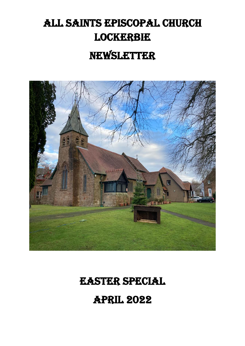# All Saints Episcopal Church **LOCKERBIE** Newsletter



# Easter Special

April 2022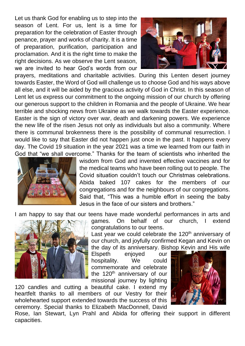Let us thank God for enabling us to step into the season of Lent. For us, lent is a time for preparation for the celebration of Easter through penance, prayer and works of charity. It is a time of preparation, purification, participation and proclamation. And it is the right time to make the right decisions. As we observe the Lent season, we are invited to hear God's words from our



prayers, meditations and charitable activities. During this Lenten desert journey towards Easter, the Word of God will challenge us to choose God and his ways above all else, and it will be aided by the gracious activity of God in Christ. In this season of Lent let us express our commitment to the ongoing mission of our church by offering our generous support to the children in Romania and the people of Ukraine. We hear terrible and shocking news from Ukraine as we walk towards the Easter experience. Easter is the sign of victory over war, death and darkening powers. We experience the new life of the risen Jesus not only as individuals but also a community. Where there is communal brokenness there is the possibility of communal resurrection. I would like to say that Easter did not happen just once in the past. It happens every day. The Covid 19 situation in the year 2021 was a time we learned from our faith in God that "we shall overcome." Thanks for the team of scientists who inherited the



wisdom from God and invented effective vaccines and for the medical teams who have been rolling out to people. The Covid situation couldn't touch our Christmas celebrations. Abida baked 107 cakes for the members of our congregations and for the neighbours of our congregations. Said that, "This was a humble effort in seeing the baby Jesus in the face of our sisters and brothers."

I am happy to say that our teens have made wonderful performances in arts and



games. On behalf of our church, I extend congratulations to our teens.

Last year we could celebrate the  $120<sup>th</sup>$  anniversary of our church, and joyfully confirmed Kegan and Kevin on the day of its anniversary. Bishop Kevin and His wife

Elspeth enjoyed our hospitality. We could commemorate and celebrate the  $120<sup>th</sup>$  anniversary of our missional journey by lighting

120 candles and cutting a beautiful cake. I extend my heartfelt thanks to all members of our Vestry for their wholehearted support extended towards the success of this ceremony. Special thanks to Elizabeth MacDonnell, David



Rose, Ian Stewart, Lyn Prahl and Abida for offering their support in different capacities.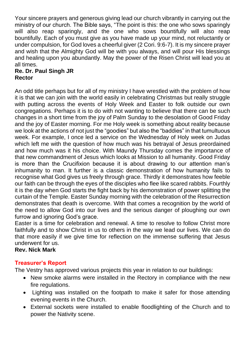Your sincere prayers and generous giving lead our church vibrantly in carrying out the ministry of our church. The Bible says, "The point is this: the one who sows sparingly will also reap sparingly, and the one who sows bountifully will also reap bountifully. Each of you must give as you have made up your mind, not reluctantly or under compulsion, for God loves a cheerful giver (2 Cori. 9:6-7). It is my sincere prayer and wish that the Almighty God will be with you always, and will pour His blessings and healing upon you abundantly. May the power of the Risen Christ will lead you at all times.

# **Re. Dr. Paul Singh JR Rector**

An odd title perhaps but for all of my ministry I have wrestled with the problem of how it is that we can join with the world easily in celebrating Christmas but really struggle with putting across the events of Holy Week and Easter to folk outside our own congregations. Perhaps it is to do with not wanting to believe that there can be such changes in a short time from the joy of Palm Sunday to the desolation of Good Friday and the joy of Easter morning. For me Holy week is something about reality because we look at the actions of not just the "goodies" but also the "baddies" in that tumultuous week. For example, I once led a service on the Wednesday of Holy week on Judas which left me with the question of how much was his betrayal of Jesus preordained and how much was it his choice. With Maundy Thursday comes the importance of that new commandment of Jesus which looks at Mission to all humanity. Good Friday is more than the Crucifixion because it is about drawing to our attention man's inhumanity to man. It further is a classic demonstration of how humanity fails to recognise what God gives us freely through grace. Thirdly it demonstrates how feeble our faith can be through the eyes of the disciples who flee like scared rabbits. Fourthly it is the day when God starts the fight back by his demonstration of power splitting the curtain of the Temple. Easter Sunday morning with the celebration of the Resurrection demonstrates that death is overcome. With that comes a recognition by the world of the need to allow God into our lives and the serious danger of ploughing our own furrow and ignoring God's grace.

Easter is a time for celebration and renewal. A time to resolve to follow Christ more faithfully and to show Christ in us to others in the way we lead our lives. We can do that more easily if we give time for reflection on the immense suffering that Jesus underwent for us.

### **Rev. Nick Mark**

# **Treasurer's Report**

The Vestry has approved various projects this year in relation to our buildings:

- New smoke alarms were installed in the Rectory in compliance with the new fire regulations.
- Lighting was installed on the footpath to make it safer for those attending evening events in the Church.
- External sockets were installed to enable floodlighting of the Church and to power the Nativity scene.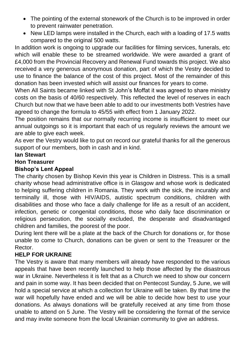- The pointing of the external stonework of the Church is to be improved in order to prevent rainwater penetration.
- New LED lamps were installed in the Church, each with a loading of 17.5 watts compared to the original 500 watts.

In addition work is ongoing to upgrade our facilities for filming services, funerals, etc which will enable these to be streamed worldwide. We were awarded a grant of £4,000 from the Provincial Recovery and Renewal Fund towards this project. We also received a very generous anonymous donation, part of which the Vestry decided to use to finance the balance of the cost of this project. Most of the remainder of this donation has been invested which will assist our finances for years to come.

When All Saints became linked with St John's Moffat it was agreed to share ministry costs on the basis of 40/60 respectively. This reflected the level of reserves in each Church but now that we have been able to add to our investments both Vestries have agreed to change the formula to 45/55 with effect from 1 January 2022.

The position remains that our normally recurring income is insufficient to meet our annual outgoings so it is important that each of us regularly reviews the amount we are able to give each week.

As ever the Vestry would like to put on record our grateful thanks for all the generous support of our members, both in cash and in kind.

# **Ian Stewart**

# **Hon Treasurer**

# **Bishop's Lent Appeal**

The charity chosen by Bishop Kevin this year is Children in Distress. This is a small charity whose head administrative office is in Glasgow and whose work is dedicated to helping suffering children in Romania. They work with the sick, the incurably and terminally ill, those with HIV/AIDS, autistic spectrum conditions, children with disabilities and those who face a daily challenge for life as a result of an accident, infection, genetic or congenital conditions, those who daily face discrimination or religious persecution, the socially excluded, the desperate and disadvantaged children and families, the poorest of the poor.

During lent there will be a plate at the back of the Church for donations or, for those unable to come to Church, donations can be given or sent to the Treasurer or the Rector.

# **HELP FOR UKRAINE**

The Vestry is aware that many members will already have responded to the various appeals that have been recently launched to help those affected by the disastrous war in Ukraine. Nevertheless it is felt that as a Church we need to show our concern and pain in some way. It has been decided that on Pentecost Sunday, 5 June, we will hold a special service at which a collection for Ukraine will be taken. By that time the war will hopefully have ended and we will be able to decide how best to use your donations. As always donations will be gratefully received at any time from those unable to attend on 5 June. The Vestry will be considering the format of the service and may invite someone from the local Ukrainian community to give an address.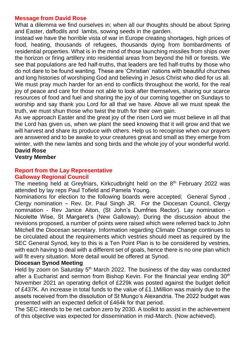# **Message from David Rose**

What a dilemma we find ourselves in; when all our thoughts should be about Spring and Easter, daffodils and lambs, sowing seeds in the garden.

Instead we have the horrible vista of war in Europe creating shortages, high prices of food, heating, thousands of refugees, thousands dying from bombardments of residential properties. What is in the mind of those launching missiles from ships over the horizon or firing artillery into residential areas from beyond the hill or forests. We see that populations are fed half-truths, that leaders are fed half-truths by those who do not dare to be found wanting. These are 'Christian' nations with beautiful churches and long histories of worshiping God and believing in Jesus Christ who died for us all. We must pray much harder for an end to conflicts throughout the world, for the real joy of peace and care for those not able to look after themselves, sharing our scarce resources of food and fuel and sharing the joy of our coming together on Sundays to worship and say thank you Lord for all that we have. Above all we must speak the truth, we must shun those who twist the truth for their own gain.

As we approach Easter and the great joy of the risen Lord we must believe in all that the Lord has given us, when we plant the seed knowing that it will grow and that we will harvest and share its produce with others. Help us to recognise when our prayers are answered and to be awake to your creatures great and small as they emerge from winter, with the new lambs and song birds and the whole joy of your wonderful world. **David Rose**

**Vestry Member**

#### **Report from the Lay Representative Galloway Regional Council**

The meeting held at Greyfriars, Kirkcudbright held on the 8<sup>th</sup> February 2022 was attended by lay reps Paul Tofield and Pamela Young.

Nominations for election to the following boards were accepted; General Synod , Clergy nomination – Rev. Dr. Paul Singh JR. For the Diocesan Council, Clergy nomination - Rev Janice Aiton, (St John's Dumfries Rector). Lay nomination - Nicolette Wise, St Margaret's (New Galloway). During the discussion about the revisions proposed, a number of points were raised which were referred back to John Mitchell the Diocesan secretary. Information regarding Climate Change continues to be circulated about the requirements which vestries should meet as required by the SEC General Synod, key to this is a Ten Point Plan is to be considered by vestries, with each having to deal with a different set of goals, hence there is no one plan which will fit every situation. More detail would be offered at Synod.

#### **Diocesan Synod Meeting**

Held by zoom on Saturday 5<sup>th</sup> March 2022. The business of the day was conducted after a Eucharist and sermon from Bishop Kevin. For the financial year ending 30<sup>th</sup> November 2021 an operating deficit of £229k was posted against the budget deficit of £437K. An increase in total funds to the value of £1.1Million was mainly due to the assets received from the dissolution of St Mungo's Alexandria. The 2022 budget was presented with an expected deficit of £464k for that period.

The SEC intends to be net carbon zero by 2030. A toolkit to assist in the achievement of this objective was expected for dissemination in mid-March. (Now achieved).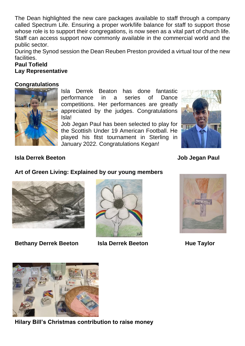The Dean highlighted the new care packages available to staff through a company called Spectrum Life. Ensuring a proper work/life balance for staff to support those whose role is to support their congregations, is now seen as a vital part of church life. Staff can access support now commonly available in the commercial world and the public sector.

During the Synod session the Dean Reuben Preston provided a virtual tour of the new facilities.

# **Paul Tofield Lay Representative**

# **Congratulations**



Isla Derrek Beaton has done fantastic performance in a series of Dance competitions. Her performances are greatly appreciated by the judges. Congratulations Isla!

Job Jegan Paul has been selected to play for the Scottish Under 19 American Football. He played his fitst tournament in Sterling in January 2022. Congratulations Kegan!



# **Isla Derrek Beeton Job Jegan Paul**

# **Art of Green Living: Explained by our young members**



**Bethany Derrek Beeton Isla Derrek Beeton Hue Taylor** 







**Hilary Bill's Christmas contribution to raise money**